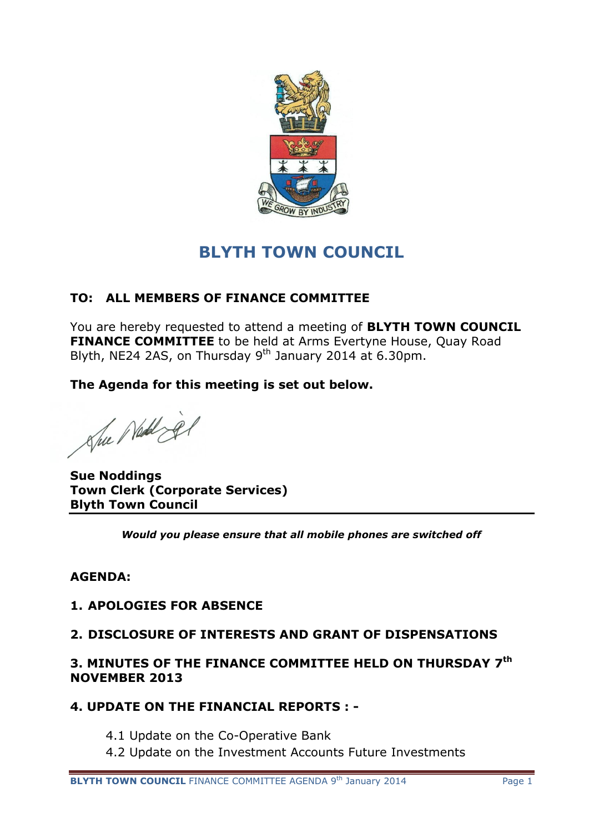

# **BLYTH TOWN COUNCIL**

# **TO: ALL MEMBERS OF FINANCE COMMITTEE**

You are hereby requested to attend a meeting of **BLYTH TOWN COUNCIL FINANCE COMMITTEE** to be held at Arms Evertyne House, Quay Road Blyth, NE24 2AS, on Thursday 9<sup>th</sup> January 2014 at 6.30pm.

**The Agenda for this meeting is set out below.**

Sue Neddig

**Sue Noddings Town Clerk (Corporate Services) Blyth Town Council**

*Would you please ensure that all mobile phones are switched off*

## **AGENDA:**

#### **1. APOLOGIES FOR ABSENCE**

#### **2. DISCLOSURE OF INTERESTS AND GRANT OF DISPENSATIONS**

### **3. MINUTES OF THE FINANCE COMMITTEE HELD ON THURSDAY 7 th NOVEMBER 2013**

## **4. UPDATE ON THE FINANCIAL REPORTS : -**

- 4.1 Update on the Co-Operative Bank
- 4.2 Update on the Investment Accounts Future Investments